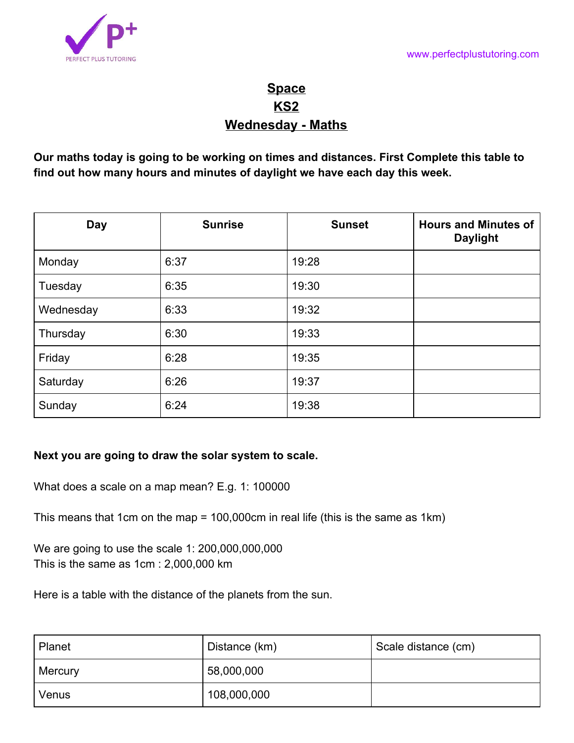

## **Space KS2 Wednesday - Maths**

**Our maths today is going to be working on times and distances. First Complete this table to find out how many hours and minutes of daylight we have each day this week.**

| <b>Day</b> | <b>Sunrise</b> | <b>Sunset</b> | <b>Hours and Minutes of</b><br><b>Daylight</b> |
|------------|----------------|---------------|------------------------------------------------|
| Monday     | 6:37           | 19:28         |                                                |
| Tuesday    | 6:35           | 19:30         |                                                |
| Wednesday  | 6:33           | 19:32         |                                                |
| Thursday   | 6:30           | 19:33         |                                                |
| Friday     | 6:28           | 19:35         |                                                |
| Saturday   | 6:26           | 19:37         |                                                |
| Sunday     | 6:24           | 19:38         |                                                |

## **Next you are going to draw the solar system to scale.**

What does a scale on a map mean? E.g. 1: 100000

This means that 1cm on the map = 100,000cm in real life (this is the same as 1km)

We are going to use the scale 1: 200,000,000,000 This is the same as 1cm : 2,000,000 km

Here is a table with the distance of the planets from the sun.

| Planet         | Distance (km) | Scale distance (cm) |
|----------------|---------------|---------------------|
| <b>Mercury</b> | 58,000,000    |                     |
| Venus          | 108,000,000   |                     |